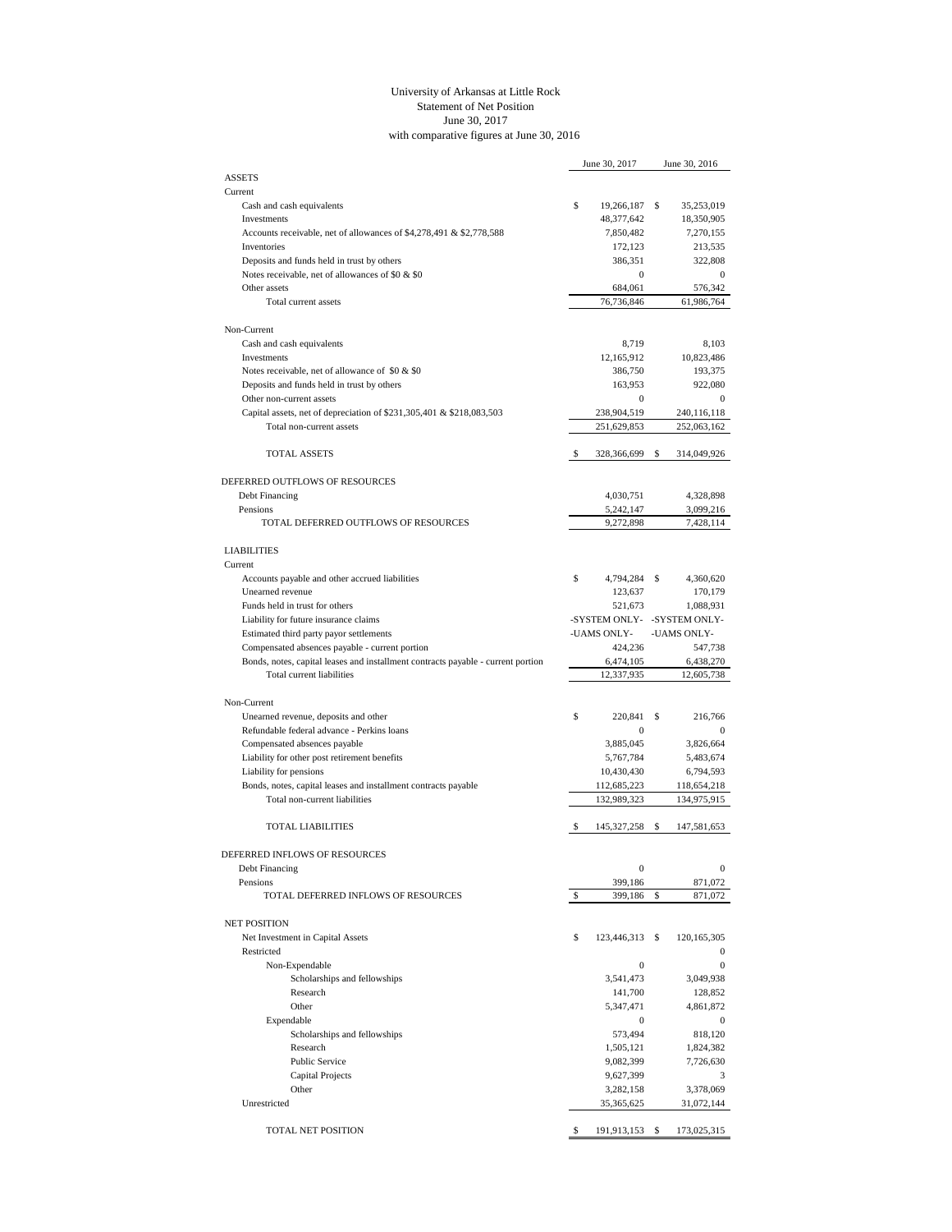## University of Arkansas at Little Rock Statement of Net Position June 30, 2017 with comparative figures at June 30, 2016

|                                                                                  | June 30, 2017               | June 30, 2016              |
|----------------------------------------------------------------------------------|-----------------------------|----------------------------|
| <b>ASSETS</b>                                                                    |                             |                            |
| Current                                                                          |                             |                            |
| Cash and cash equivalents                                                        | \$<br>19,266,187            | \$<br>35,253,019           |
| Investments                                                                      | 48,377,642                  | 18,350,905                 |
| Accounts receivable, net of allowances of \$4,278,491 & \$2,778,588              | 7,850,482                   | 7,270,155                  |
| Inventories                                                                      | 172,123                     | 213,535                    |
| Deposits and funds held in trust by others                                       | 386,351                     | 322,808                    |
| Notes receivable, net of allowances of \$0 & \$0<br>Other assets                 | $\mathbf{0}$                | $\bf{0}$                   |
| Total current assets                                                             | 684,061<br>76,736,846       | 576,342                    |
|                                                                                  |                             | 61,986,764                 |
| Non-Current                                                                      |                             |                            |
| Cash and cash equivalents                                                        | 8,719                       | 8,103                      |
| Investments                                                                      | 12,165,912                  | 10,823,486                 |
| Notes receivable, net of allowance of \$0 & \$0                                  | 386,750                     | 193,375                    |
| Deposits and funds held in trust by others                                       | 163,953                     | 922,080                    |
| Other non-current assets                                                         | $\boldsymbol{0}$            | $\mathbf{0}$               |
| Capital assets, net of depreciation of \$231,305,401 & \$218,083,503             | 238,904,519                 | 240,116,118                |
| Total non-current assets                                                         | 251,629,853                 | 252,063,162                |
|                                                                                  |                             |                            |
| <b>TOTAL ASSETS</b>                                                              | \$<br>328,366,699           | \$<br>314,049,926          |
|                                                                                  |                             |                            |
| DEFERRED OUTFLOWS OF RESOURCES                                                   |                             |                            |
| Debt Financing                                                                   | 4,030,751                   | 4,328,898                  |
| Pensions                                                                         | 5,242,147                   | 3,099,216                  |
| TOTAL DEFERRED OUTFLOWS OF RESOURCES                                             | 9,272,898                   | 7,428,114                  |
| <b>LIABILITIES</b>                                                               |                             |                            |
| Current                                                                          |                             |                            |
|                                                                                  | \$                          |                            |
| Accounts payable and other accrued liabilities<br>Unearned revenue               | 4,794,284<br>123,637        | \$<br>4,360,620<br>170,179 |
| Funds held in trust for others                                                   | 521,673                     | 1,088,931                  |
| Liability for future insurance claims                                            | -SYSTEM ONLY- -SYSTEM ONLY- |                            |
| Estimated third party payor settlements                                          | -UAMS ONLY-                 | -UAMS ONLY-                |
| Compensated absences payable - current portion                                   | 424,236                     | 547,738                    |
| Bonds, notes, capital leases and installment contracts payable - current portion | 6,474,105                   | 6,438,270                  |
| Total current liabilities                                                        | 12,337,935                  | 12,605,738                 |
|                                                                                  |                             |                            |
| Non-Current                                                                      |                             |                            |
| Unearned revenue, deposits and other                                             | \$<br>220,841               | \$<br>216,766              |
| Refundable federal advance - Perkins loans                                       | $\mathbf{0}$                | $\mathbf{0}$               |
| Compensated absences payable                                                     | 3,885,045                   | 3,826,664                  |
| Liability for other post retirement benefits                                     | 5,767,784                   | 5,483,674                  |
| Liability for pensions                                                           | 10,430,430                  | 6,794,593                  |
| Bonds, notes, capital leases and installment contracts payable                   | 112,685,223                 | 118,654,218                |
| Total non-current liabilities                                                    | 132,989,323                 | 134,975,915                |
|                                                                                  |                             |                            |
| <b>TOTAL LIABILITIES</b>                                                         | \$<br>145, 327, 258         | \$<br>147,581,653          |
|                                                                                  |                             |                            |
| DEFERRED INFLOWS OF RESOURCES                                                    |                             |                            |
| Debt Financing                                                                   | $\boldsymbol{0}$<br>399.186 | $\boldsymbol{0}$           |
| Pensions<br>TOTAL DEFERRED INFLOWS OF RESOURCES                                  | \$<br>399,186               | \$<br>871,072<br>871,072   |
|                                                                                  |                             |                            |
| <b>NET POSITION</b>                                                              |                             |                            |
| Net Investment in Capital Assets                                                 | \$<br>123,446,313 \$        | 120, 165, 305              |
| Restricted                                                                       |                             | $\bf{0}$                   |
| Non-Expendable                                                                   | $\boldsymbol{0}$            | $\boldsymbol{0}$           |
| Scholarships and fellowships                                                     | 3,541,473                   | 3,049,938                  |
| Research                                                                         | 141,700                     | 128,852                    |
| Other                                                                            | 5,347,471                   | 4,861,872                  |
| Expendable                                                                       | $\boldsymbol{0}$            | $\bf{0}$                   |
| Scholarships and fellowships                                                     | 573,494                     | 818,120                    |
| Research                                                                         |                             |                            |
| <b>Public Service</b>                                                            | 1,505,121                   | 1,824,382                  |
| <b>Capital Projects</b>                                                          | 9,082,399                   | 7,726,630<br>3             |
| Other                                                                            | 9,627,399                   |                            |
| Unrestricted                                                                     | 3,282,158                   | 3,378,069                  |
|                                                                                  | 35,365,625                  | 31,072,144                 |
| TOTAL NET POSITION                                                               | \$<br>191,913,153           | \$<br>173,025,315          |
|                                                                                  |                             |                            |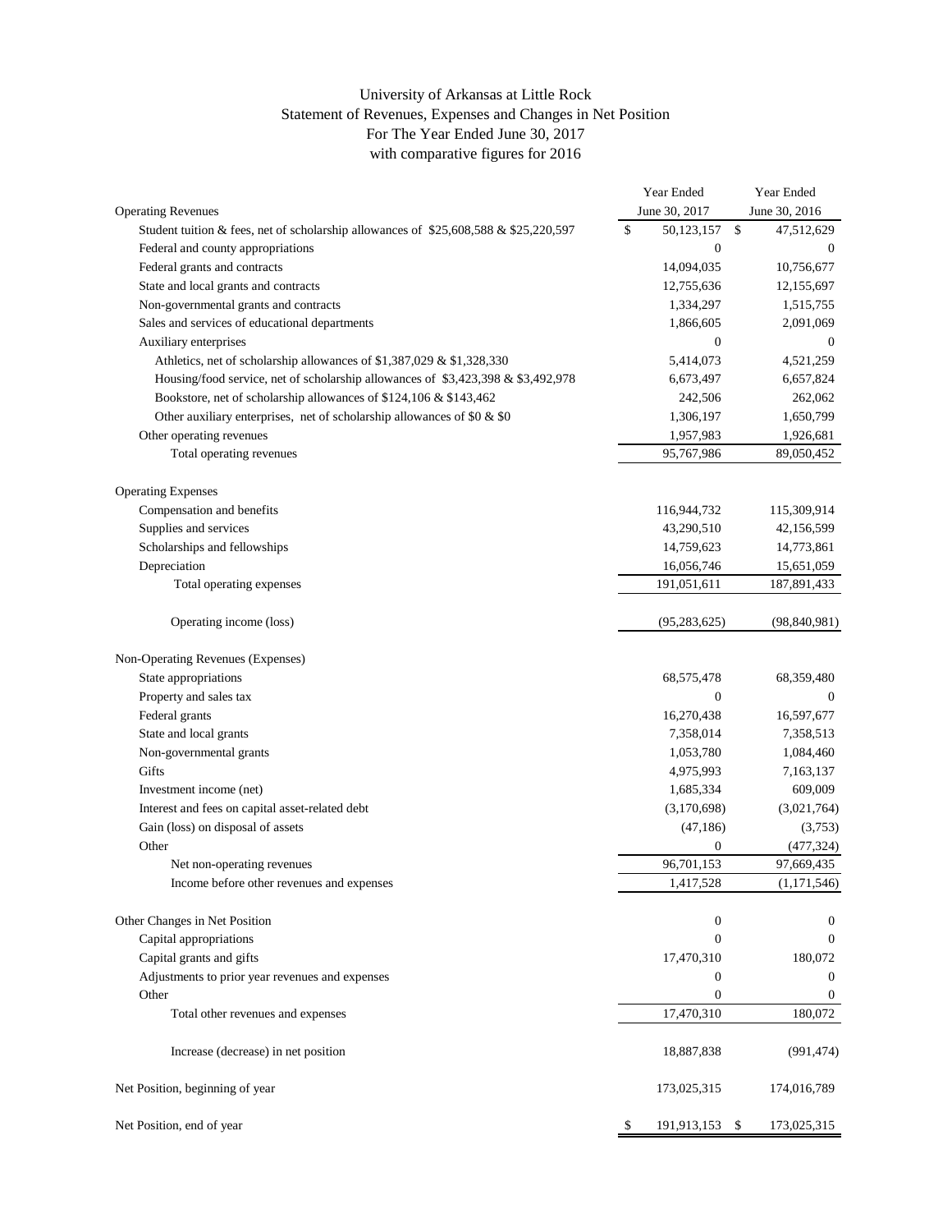## University of Arkansas at Little Rock Statement of Revenues, Expenses and Changes in Net Position For The Year Ended June 30, 2017 with comparative figures for 2016

|                                                                                      | Year Ended           |              | Year Ended       |
|--------------------------------------------------------------------------------------|----------------------|--------------|------------------|
| <b>Operating Revenues</b>                                                            | June 30, 2017        |              | June 30, 2016    |
| Student tuition & fees, net of scholarship allowances of \$25,608,588 & \$25,220,597 | \$<br>50,123,157     | $\mathbb{S}$ | 47,512,629       |
| Federal and county appropriations                                                    | $\boldsymbol{0}$     |              | $\overline{0}$   |
| Federal grants and contracts                                                         | 14,094,035           |              | 10,756,677       |
| State and local grants and contracts                                                 | 12,755,636           |              | 12,155,697       |
| Non-governmental grants and contracts                                                | 1,334,297            |              | 1,515,755        |
| Sales and services of educational departments                                        | 1,866,605            |              | 2,091,069        |
| Auxiliary enterprises                                                                | $\mathbf{0}$         |              | $\mathbf{0}$     |
| Athletics, net of scholarship allowances of \$1,387,029 & \$1,328,330                | 5,414,073            |              | 4,521,259        |
| Housing/food service, net of scholarship allowances of \$3,423,398 & \$3,492,978     | 6,673,497            |              | 6,657,824        |
| Bookstore, net of scholarship allowances of \$124,106 & \$143,462                    | 242,506              |              | 262,062          |
| Other auxiliary enterprises, net of scholarship allowances of \$0 $\&$ \$0           | 1,306,197            |              | 1,650,799        |
| Other operating revenues                                                             | 1,957,983            |              | 1,926,681        |
| Total operating revenues                                                             | 95,767,986           |              | 89,050,452       |
| <b>Operating Expenses</b>                                                            |                      |              |                  |
| Compensation and benefits                                                            | 116,944,732          |              | 115,309,914      |
| Supplies and services                                                                | 43,290,510           |              | 42,156,599       |
| Scholarships and fellowships                                                         | 14,759,623           |              | 14,773,861       |
| Depreciation                                                                         | 16,056,746           |              | 15,651,059       |
| Total operating expenses                                                             | 191,051,611          |              | 187,891,433      |
|                                                                                      |                      |              |                  |
| Operating income (loss)                                                              | (95, 283, 625)       |              | (98, 840, 981)   |
| Non-Operating Revenues (Expenses)                                                    |                      |              |                  |
| State appropriations                                                                 | 68,575,478           |              | 68,359,480       |
| Property and sales tax                                                               | $\Omega$             |              | $\Omega$         |
| Federal grants                                                                       | 16,270,438           |              | 16,597,677       |
| State and local grants                                                               | 7,358,014            |              | 7,358,513        |
| Non-governmental grants                                                              | 1,053,780            |              | 1,084,460        |
| Gifts                                                                                | 4,975,993            |              | 7,163,137        |
| Investment income (net)                                                              | 1,685,334            |              | 609,009          |
| Interest and fees on capital asset-related debt                                      | (3,170,698)          |              | (3,021,764)      |
| Gain (loss) on disposal of assets                                                    | (47, 186)            |              | (3,753)          |
| Other                                                                                | $\mathbf{0}$         |              | (477, 324)       |
| Net non-operating revenues                                                           | 96,701,153           |              | 97,669,435       |
| Income before other revenues and expenses                                            | 1,417,528            |              | (1, 171, 546)    |
| Other Changes in Net Position                                                        | $\boldsymbol{0}$     |              | $\bf{0}$         |
| Capital appropriations                                                               | $\mathbf{0}$         |              | $\mathbf{0}$     |
| Capital grants and gifts                                                             | 17,470,310           |              | 180,072          |
| Adjustments to prior year revenues and expenses                                      | $\bf{0}$             |              | $\bf{0}$         |
| Other                                                                                | $\mathbf{0}$         |              | $\boldsymbol{0}$ |
| Total other revenues and expenses                                                    | 17,470,310           |              | 180,072          |
|                                                                                      |                      |              |                  |
| Increase (decrease) in net position                                                  | 18,887,838           |              | (991, 474)       |
| Net Position, beginning of year                                                      | 173,025,315          |              | 174,016,789      |
| Net Position, end of year                                                            | \$<br>191,913,153 \$ |              | 173,025,315      |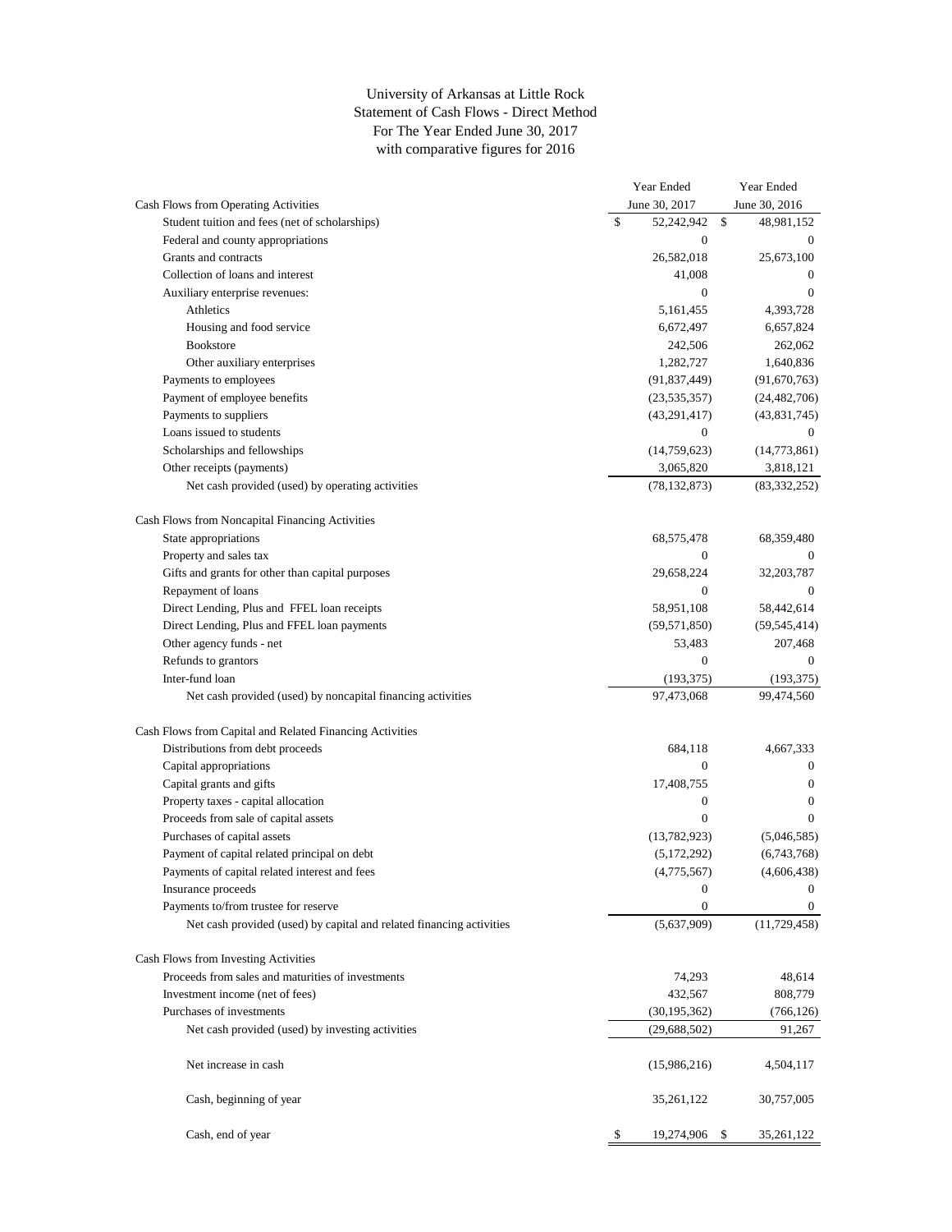## University of Arkansas at Little Rock Statement of Cash Flows - Direct Method For The Year Ended June 30, 2017 with comparative figures for 2016

|                                                                      | Year Ended       | Year Ended       |
|----------------------------------------------------------------------|------------------|------------------|
| Cash Flows from Operating Activities                                 | June 30, 2017    | June 30, 2016    |
| Student tuition and fees (net of scholarships)                       | \$<br>52,242,942 | \$<br>48,981,152 |
| Federal and county appropriations                                    | $\overline{0}$   | $\overline{0}$   |
| Grants and contracts                                                 | 26,582,018       | 25,673,100       |
| Collection of loans and interest                                     | 41,008           | $\mathbf{0}$     |
| Auxiliary enterprise revenues:                                       | $\boldsymbol{0}$ | $\mathbf{0}$     |
| Athletics                                                            | 5,161,455        | 4,393,728        |
| Housing and food service                                             | 6,672,497        | 6,657,824        |
| <b>Bookstore</b>                                                     | 242,506          | 262,062          |
| Other auxiliary enterprises                                          | 1,282,727        | 1,640,836        |
| Payments to employees                                                | (91, 837, 449)   | (91,670,763)     |
| Payment of employee benefits                                         | (23, 535, 357)   | (24, 482, 706)   |
| Payments to suppliers                                                | (43,291,417)     | (43,831,745)     |
| Loans issued to students                                             | $\boldsymbol{0}$ | $\overline{0}$   |
| Scholarships and fellowships                                         | (14,759,623)     | (14,773,861)     |
| Other receipts (payments)                                            | 3,065,820        | 3,818,121        |
| Net cash provided (used) by operating activities                     | (78, 132, 873)   | (83, 332, 252)   |
|                                                                      |                  |                  |
| Cash Flows from Noncapital Financing Activities                      |                  |                  |
| State appropriations                                                 | 68,575,478       | 68,359,480       |
| Property and sales tax                                               | 0                | $\overline{0}$   |
| Gifts and grants for other than capital purposes                     | 29,658,224       | 32,203,787       |
| Repayment of loans                                                   | $\boldsymbol{0}$ | $\overline{0}$   |
| Direct Lending, Plus and FFEL loan receipts                          | 58,951,108       | 58,442,614       |
| Direct Lending, Plus and FFEL loan payments                          | (59, 571, 850)   | (59, 545, 414)   |
| Other agency funds - net                                             | 53,483           | 207,468          |
| Refunds to grantors                                                  | $\mathbf{0}$     | $\mathbf{0}$     |
| Inter-fund loan                                                      | (193, 375)       | (193, 375)       |
| Net cash provided (used) by noncapital financing activities          | 97,473,068       | 99,474,560       |
| Cash Flows from Capital and Related Financing Activities             |                  |                  |
| Distributions from debt proceeds                                     | 684,118          | 4,667,333        |
| Capital appropriations                                               | $\mathbf{0}$     | $\overline{0}$   |
| Capital grants and gifts                                             | 17,408,755       | $\overline{0}$   |
| Property taxes - capital allocation                                  | $\bf{0}$         | $\overline{0}$   |
| Proceeds from sale of capital assets                                 | $\mathbf{0}$     | $\mathbf{0}$     |
| Purchases of capital assets                                          | (13,782,923)     | (5,046,585)      |
| Payment of capital related principal on debt                         | (5,172,292)      | (6,743,768)      |
| Payments of capital related interest and fees                        | (4,775,567)      | (4,606,438)      |
| Insurance proceeds                                                   | $\boldsymbol{0}$ | $\boldsymbol{0}$ |
| Payments to/from trustee for reserve                                 | $\mathbf{0}$     | $\overline{0}$   |
| Net cash provided (used) by capital and related financing activities | (5,637,909)      | (11, 729, 458)   |
| Cash Flows from Investing Activities                                 |                  |                  |
| Proceeds from sales and maturities of investments                    | 74,293           | 48,614           |
| Investment income (net of fees)                                      | 432,567          | 808,779          |
| Purchases of investments                                             | (30, 195, 362)   | (766, 126)       |
| Net cash provided (used) by investing activities                     | (29,688,502)     | 91,267           |
|                                                                      |                  |                  |
| Net increase in cash                                                 | (15,986,216)     | 4,504,117        |
| Cash, beginning of year                                              | 35,261,122       | 30,757,005       |
| Cash, end of year                                                    | \$<br>19,274,906 | \$<br>35,261,122 |